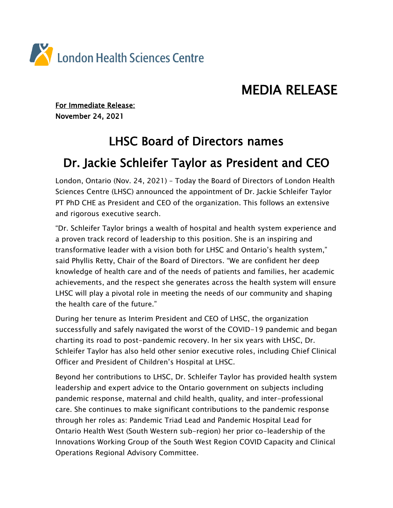

# MEDIA RELEASE

For Immediate Release: November 24, 2021

## LHSC Board of Directors names

### Dr. Jackie Schleifer Taylor as President and CEO

London, Ontario (Nov. 24, 2021) – Today the Board of Directors of London Health Sciences Centre (LHSC) announced the appointment of Dr. Jackie Schleifer Taylor PT PhD CHE as President and CEO of the organization. This follows an extensive and rigorous executive search.

"Dr. Schleifer Taylor brings a wealth of hospital and health system experience and a proven track record of leadership to this position. She is an inspiring and transformative leader with a vision both for LHSC and Ontario's health system," said Phyllis Retty, Chair of the Board of Directors. "We are confident her deep knowledge of health care and of the needs of patients and families, her academic achievements, and the respect she generates across the health system will ensure LHSC will play a pivotal role in meeting the needs of our community and shaping the health care of the future."

During her tenure as Interim President and CEO of LHSC, the organization successfully and safely navigated the worst of the COVID-19 pandemic and began charting its road to post-pandemic recovery. In her six years with LHSC, Dr. Schleifer Taylor has also held other senior executive roles, including Chief Clinical Officer and President of Children's Hospital at LHSC.

Beyond her contributions to LHSC, Dr. Schleifer Taylor has provided health system leadership and expert advice to the Ontario government on subjects including pandemic response, maternal and child health, quality, and inter-professional care. She continues to make significant contributions to the pandemic response through her roles as: Pandemic Triad Lead and Pandemic Hospital Lead for Ontario Health West (South Western sub-region) her prior co-leadership of the Innovations Working Group of the South West Region COVID Capacity and Clinical Operations Regional Advisory Committee.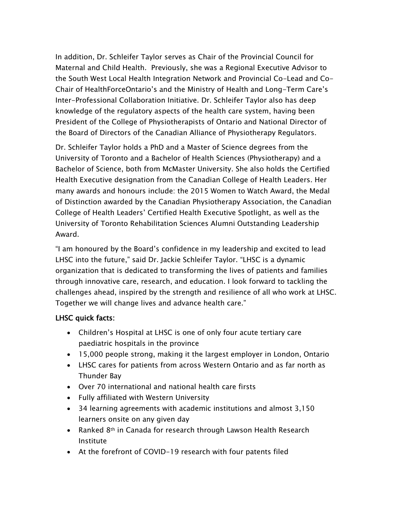In addition, Dr. Schleifer Taylor serves as Chair of the Provincial Council for Maternal and Child Health. Previously, she was a Regional Executive Advisor to the South West Local Health Integration Network and Provincial Co-Lead and Co-Chair of HealthForceOntario's and the Ministry of Health and Long-Term Care's Inter-Professional Collaboration Initiative. Dr. Schleifer Taylor also has deep knowledge of the regulatory aspects of the health care system, having been President of the College of Physiotherapists of Ontario and National Director of the Board of Directors of the Canadian Alliance of Physiotherapy Regulators.

Dr. Schleifer Taylor holds a PhD and a Master of Science degrees from the University of Toronto and a Bachelor of Health Sciences (Physiotherapy) and a Bachelor of Science, both from McMaster University. She also holds the Certified Health Executive designation from the Canadian College of Health Leaders. Her many awards and honours include: the 2015 Women to Watch Award, the Medal of Distinction awarded by the Canadian Physiotherapy Association, the Canadian College of Health Leaders' Certified Health Executive Spotlight, as well as the University of Toronto Rehabilitation Sciences Alumni Outstanding Leadership Award.

"I am honoured by the Board's confidence in my leadership and excited to lead LHSC into the future," said Dr. Jackie Schleifer Taylor. "LHSC is a dynamic organization that is dedicated to transforming the lives of patients and families through innovative care, research, and education. I look forward to tackling the challenges ahead, inspired by the strength and resilience of all who work at LHSC. Together we will change lives and advance health care."

#### LHSC quick facts:

- Children's Hospital at LHSC is one of only four acute tertiary care paediatric hospitals in the province
- 15,000 people strong, making it the largest employer in London, Ontario
- LHSC cares for patients from across Western Ontario and as far north as Thunder Bay
- Over 70 international and national health care firsts
- Fully affiliated with Western University
- 34 learning agreements with academic institutions and almost 3,150 learners onsite on any given day
- Ranked 8<sup>th</sup> in Canada for research through Lawson Health Research Institute
- At the forefront of COVID-19 research with four patents filed